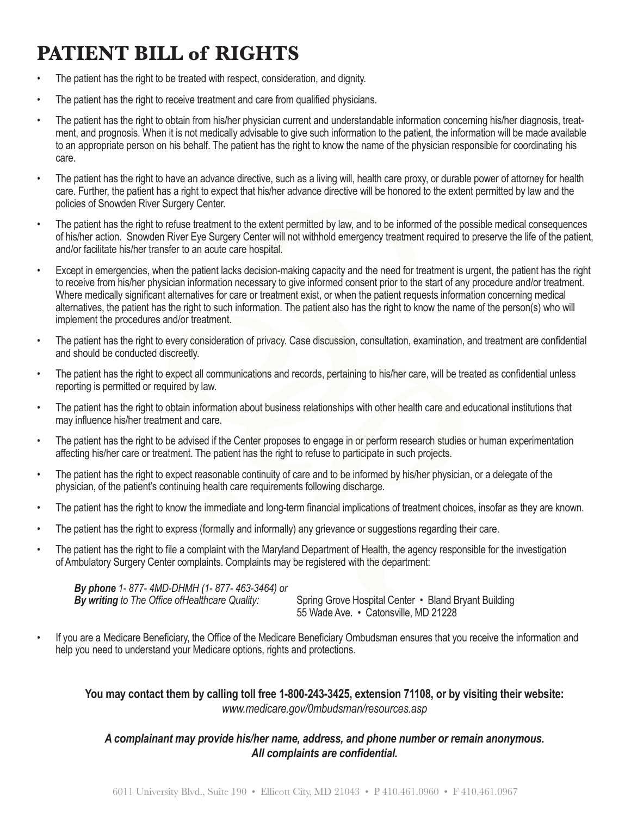## **PATIENT BILL of RIGHTS**

- The patient has the right to be treated with respect, consideration, and dignity.
- The patient has the right to receive treatment and care from qualified physicians.
- The patient has the right to obtain from his/her physician current and understandable information concerning his/her diagnosis, treatment, and prognosis. When it is not medically advisable to give such information to the patient, the information will be made available to an appropriate person on his behalf. The patient has the right to know the name of the physician responsible for coordinating his care.
- The patient has the right to have an advance directive, such as a living will, health care proxy, or durable power of attorney for health care. Further, the patient has a right to expect that his/her advance directive will be honored to the extent permitted by law and the policies of Snowden River Surgery Center.
- The patient has the right to refuse treatment to the extent permitted by law, and to be informed of the possible medical consequences of his/her action. Snowden River Eye Surgery Center will not withhold emergency treatment required to preserve the life of the patient, and/or facilitate his/her transfer to an acute care hospital.
- Except in emergencies, when the patient lacks decision-making capacity and the need for treatment is urgent, the patient has the right to receive from his/her physician information necessary to give informed consent prior to the start of any procedure and/or treatment. Where medically significant alternatives for care or treatment exist, or when the patient requests information concerning medical alternatives, the patient has the right to such information. The patient also has the right to know the name of the person(s) who will implement the procedures and/or treatment.
- The patient has the right to every consideration of privacy. Case discussion, consultation, examination, and treatment are confidential and should be conducted discreetly.
- The patient has the right to expect all communications and records, pertaining to his/her care, will be treated as confidential unless reporting is permitted or required by law.
- The patient has the right to obtain information about business relationships with other health care and educational institutions that may influence his/her treatment and care.
- The patient has the right to be advised if the Center proposes to engage in or perform research studies or human experimentation affecting his/her care or treatment. The patient has the right to refuse to participate in such projects.
- The patient has the right to expect reasonable continuity of care and to be informed by his/her physician, or a delegate of the physician, of the patient's continuing health care requirements following discharge.
- The patient has the right to know the immediate and long-term financial implications of treatment choices, insofar as they are known.
- The patient has the right to express (formally and informally) any grievance or suggestions regarding their care.
- The patient has the right to file a complaint with the Maryland Department of Health, the agency responsible for the investigation of Ambulatory Surgery Center complaints. Complaints may be registered with the department:

 *By phone 1- 877- 4MD-DHMH (1- 877- 463-3464) or*  **By writing** to The Office of Healthcare Quality: Spring Grove Hospital Center • Bland Bryant Building

 55 Wade Ave. • Catonsville, MD 21228

If you are a Medicare Beneficiary, the Office of the Medicare Beneficiary Ombudsman ensures that you receive the information and help you need to understand your Medicare options, rights and protections.

**You may contact them by calling toll free 1-800-243-3425, extension 71108, or by visiting their website:** *www.medicare.gov/0mbudsman/resources.asp*

## *A complainant may provide his/her name, address, and phone number or remain anonymous. All complaints are confidential.*